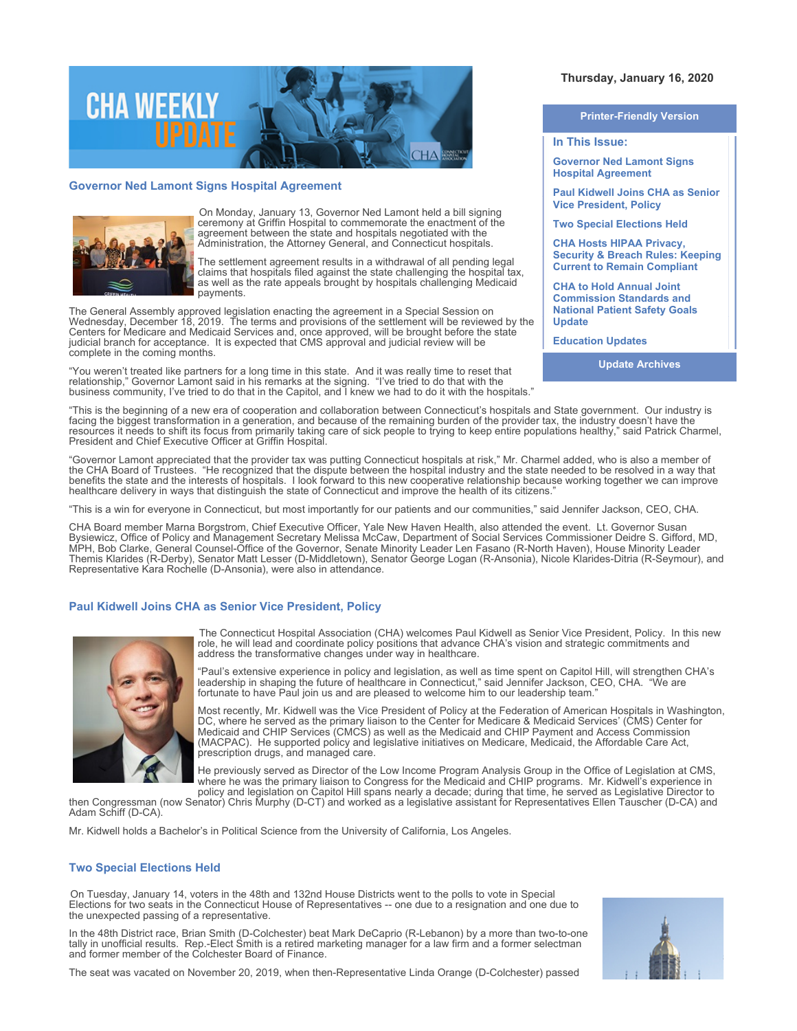

# **Governor Ned Lamont Signs Hospital Agreement**



On Monday, January 13, Governor Ned Lamont held a bill signing ceremony at Griffin Hospital to commemorate the enactment of the agreement between the state and hospitals negotiated with the Administration, the Attorney General, and Connecticut hospitals.

The settlement agreement results in a withdrawal of all pending legal claims that hospitals filed against the state challenging the hospital tax, as well as the rate appeals brought by hospitals challenging Medicaid payments.

The General Assembly approved legislation enacting the agreement in a Special Session on Wednesday, December 18, 2019. The terms and provisions of the settlement will be reviewed by the Centers for Medicare and Medicaid Services and, once approved, will be brought before the state judicial branch for acceptance. It is expected that CMS approval and judicial review will be complete in the coming months.

"You weren't treated like partners for a long time in this state. And it was really time to reset that relationship," Governor Lamont said in his remarks at the signing. "I've tried to do that with the business community, I've tried to do that in the Capitol, and I knew we had to do it with the hospitals."

# **Thursday, January 16, 2020**

#### **Printer-Friendly Version**

**In This Issue:**

**Governor Ned Lamont Signs Hospital Agreement** 

**Paul Kidwell Joins CHA as Senior Vice President, Policy** 

**Two Special Elections Held** 

**CHA Hosts HIPAA Privacy, Security & Breach Rules: Keeping Current to Remain Compliant** 

**CHA to Hold Annual Joint Commission Standards and National Patient Safety Goals Update** 

**Education Updates** 

**Update Archives**

"This is the beginning of a new era of cooperation and collaboration between Connecticut's hospitals and State government. Our industry is facing the biggest transformation in a generation, and because of the remaining burden of the provider tax, the industry doesn't have the resources it needs to shift its focus from primarily taking care of sick people to trying to keep entire populations healthy," said Patrick Charmel, President and Chief Executive Officer at Griffin Hospital.

"Governor Lamont appreciated that the provider tax was putting Connecticut hospitals at risk," Mr. Charmel added, who is also a member of the CHA Board of Trustees. "He recognized that the dispute between the hospital industry and the state needed to be resolved in a way that benefits the state and the interests of hospitals. I look forward to this new cooperative relationship because working together we can improve healthcare delivery in ways that distinguish the state of Connecticut and improve the health of its citizens."

"This is a win for everyone in Connecticut, but most importantly for our patients and our communities," said Jennifer Jackson, CEO, CHA.

CHA Board member Marna Borgstrom, Chief Executive Officer, Yale New Haven Health, also attended the event. Lt. Governor Susan Bysiewicz, Office of Policy and Management Secretary Melissa McCaw, Department of Social Services Commissioner Deidre S. Gifford, MD, MPH, Bob Clarke, General Counsel-Office of the Governor, Senate Minority Leader Len Fasano (R-North Haven), House Minority Leader Themis Klarides (R-Derby), Senator Matt Lesser (D-Middletown), Senator George Logan (R-Ansonia), Nicole Klarides-Ditria (R-Seymour), and Representative Kara Rochelle (D-Ansonia), were also in attendance.

## **Paul Kidwell Joins CHA as Senior Vice President, Policy**



The Connecticut Hospital Association (CHA) welcomes Paul Kidwell as Senior Vice President, Policy. In this new role, he will lead and coordinate policy positions that advance CHA's vision and strategic commitments and address the transformative changes under way in healthcare.

"Paul's extensive experience in policy and legislation, as well as time spent on Capitol Hill, will strengthen CHA's leadership in shaping the future of healthcare in Connecticut," said Jennifer Jackson, CEO, CHA. "We are fortunate to have Paul join us and are pleased to welcome him to our leadership team."

Most recently, Mr. Kidwell was the Vice President of Policy at the Federation of American Hospitals in Washington, DC, where he served as the primary liaison to the Center for Medicare & Medicaid Services' (CMS) Center for Medicaid and CHIP Services (CMCS) as well as the Medicaid and CHIP Payment and Access Commission (MACPAC). He supported policy and legislative initiatives on Medicare, Medicaid, the Affordable Care Act, prescription drugs, and managed care.

He previously served as Director of the Low Income Program Analysis Group in the Office of Legislation at CMS, where he was the primary liaison to Congress for the Medicaid and CHIP programs. Mr. Kidwell's experience in policy and legislation on Capitol Hill spans nearly a decade; during that time, he served as Legislative Director to

then Congressman (now Senator) Chris Murphy (D-CT) and worked as a legislative assistant for Representatives Ellen Tauscher (D-CA) and Adam Schiff (D-CA).

Mr. Kidwell holds a Bachelor's in Political Science from the University of California, Los Angeles.

#### **Two Special Elections Held**

On Tuesday, January 14, voters in the 48th and 132nd House Districts went to the polls to vote in Special Elections for two seats in the Connecticut House of Representatives -- one due to a resignation and one due to the unexpected passing of a representative.

In the 48th District race, Brian Smith (D-Colchester) beat Mark DeCaprio (R-Lebanon) by a more than two-to-one tally in unofficial results. Rep.-Elect Smith is a retired marketing manager for a law firm and a former selectman and former member of the Colchester Board of Finance.



The seat was vacated on November 20, 2019, when then-Representative Linda Orange (D-Colchester) passed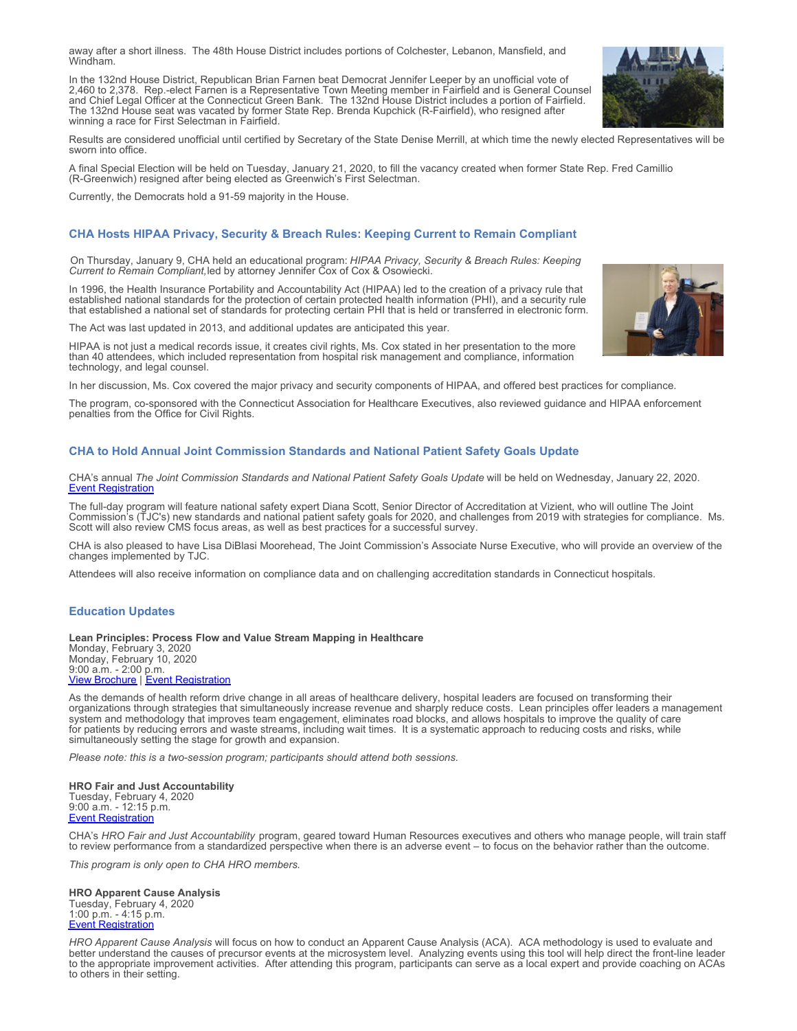away after a short illness. The 48th House District includes portions of Colchester, Lebanon, Mansfield, and Windham.

In the 132nd House District, Republican Brian Farnen beat Democrat Jennifer Leeper by an unofficial vote of 2,460 to 2,378. Rep.-elect Farnen is a Representative Town Meeting member in Fairfield and is General Counsel and Chief Legal Officer at the Connecticut Green Bank. The 132nd House District includes a portion of Fairfield. The 132nd House seat was vacated by former State Rep. Brenda Kupchick (R-Fairfield), who resigned after winning a race for First Selectman in Fairfield.

Results are considered unofficial until certified by Secretary of the State Denise Merrill, at which time the newly elected Representatives will be sworn into office.

A final Special Election will be held on Tuesday, January 21, 2020, to fill the vacancy created when former State Rep. Fred Camillio (R-Greenwich) resigned after being elected as Greenwich's First Selectman.

Currently, the Democrats hold a 91-59 majority in the House.

# **CHA Hosts HIPAA Privacy, Security & Breach Rules: Keeping Current to Remain Compliant**

On Thursday, January 9, CHA held an educational program: *HIPAA Privacy, Security & Breach Rules: Keeping Current to Remain Compliant,* led by attorney Jennifer Cox of Cox & Osowiecki.

In 1996, the Health Insurance Portability and Accountability Act (HIPAA) led to the creation of a privacy rule that established national standards for the protection of certain protected health information (PHI), and a security rule that established a national set of standards for protecting certain PHI that is held or transferred in electronic form.

The Act was last updated in 2013, and additional updates are anticipated this year.

HIPAA is not just a medical records issue, it creates civil rights, Ms. Cox stated in her presentation to the more than 40 attendees, which included representation from hospital risk management and compliance, information technology, and legal counsel.

In her discussion, Ms. Cox covered the major privacy and security components of HIPAA, and offered best practices for compliance.

The program, co-sponsored with the Connecticut Association for Healthcare Executives, also reviewed guidance and HIPAA enforcement penalties from the Office for Civil Rights.

## **CHA to Hold Annual Joint Commission Standards and National Patient Safety Goals Update**

CHA's annual *The Joint Commission Standards and National Patient Safety Goals Update* will be held on Wednesday, January 22, 2020. [Event Registration](https://cthosp.org/eventcalendar/index.cfm?action=register&date=43852&id=839)

The full-day program will feature national safety expert Diana Scott, Senior Director of Accreditation at Vizient, who will outline The Joint Commission's (TJC's) new standards and national patient safety goals for 2020, and challenges from 2019 with strategies for compliance. Ms. Scott will also review CMS focus areas, as well as best practices for a successful survey.

CHA is also pleased to have Lisa DiBlasi Moorehead, The Joint Commission's Associate Nurse Executive, who will provide an overview of the changes implemented by TJC.

Attendees will also receive information on compliance data and on challenging accreditation standards in Connecticut hospitals.

## **Education Updates**

#### **Lean Principles: Process Flow and Value Stream Mapping in Healthcare**

Monday, February 3, 2020 Monday, February 10, 2020 9:00 a.m. - 2:00 p.m. **[View Brochure](https://cthosp.org/eventcalendar/uploads/Lean%20Principles%20brochure-Feb2020.pdf) | [Event Registration](https://cthosp.org/eventcalendar/index.cfm?action=register&date=43864&id=840)** 

As the demands of health reform drive change in all areas of healthcare delivery, hospital leaders are focused on transforming their organizations through strategies that simultaneously increase revenue and sharply reduce costs. Lean principles offer leaders a management system and methodology that improves team engagement, eliminates road blocks, and allows hospitals to improve the quality of care for patients by reducing errors and waste streams, including wait times. It is a systematic approach to reducing costs and risks, while simultaneously setting the stage for growth and expansion.

*Please note: this is a two-session program; participants should attend both sessions.* 

## **HRO Fair and Just Accountability**

Tuesday, February 4, 2020 9:00 a.m. - 12:15 p.m. [Event Registration](https://cthosp.org/eventcalendar/index.cfm?action=register&date=43865&id=845)

CHA's *HRO Fair and Just Accountability* program, geared toward Human Resources executives and others who manage people, will train staff to review performance from a standardized perspective when there is an adverse event – to focus on the behavior rather than the outcome.

*This program is only open to CHA HRO members.*

#### **HRO Apparent Cause Analysis**

Tuesday, February 4, 2020 1:00 p.m. - 4:15 p.m. [Event Registration](https://cthosp.org/eventcalendar/index.cfm?action=register&date=43865&id=846)

*HRO Apparent Cause Analysis* will focus on how to conduct an Apparent Cause Analysis (ACA). ACA methodology is used to evaluate and better understand the causes of precursor events at the microsystem level. Analyzing events using this tool will help direct the front-line leader to the appropriate improvement activities. After attending this program, participants can serve as a local expert and provide coaching on ACAs to others in their setting.